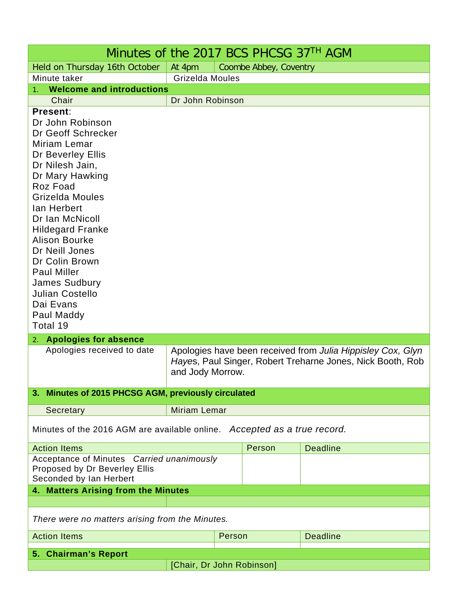| Minutes of the 2017 BCS PHCSG 37TH AGM                                                                                                                                                                                                                                                                                                                                                                                                                                |                                                                                |        |        |                                                             |
|-----------------------------------------------------------------------------------------------------------------------------------------------------------------------------------------------------------------------------------------------------------------------------------------------------------------------------------------------------------------------------------------------------------------------------------------------------------------------|--------------------------------------------------------------------------------|--------|--------|-------------------------------------------------------------|
| Held on Thursday 16th October                                                                                                                                                                                                                                                                                                                                                                                                                                         | At 4pm<br>Coombe Abbey, Coventry                                               |        |        |                                                             |
| Minute taker                                                                                                                                                                                                                                                                                                                                                                                                                                                          | Grizelda Moules                                                                |        |        |                                                             |
| <b>Welcome and introductions</b>                                                                                                                                                                                                                                                                                                                                                                                                                                      |                                                                                |        |        |                                                             |
| Chair                                                                                                                                                                                                                                                                                                                                                                                                                                                                 | Dr John Robinson                                                               |        |        |                                                             |
| <b>Present:</b><br>Dr John Robinson<br>Dr Geoff Schrecker<br>Miriam Lemar<br>Dr Beverley Ellis<br>Dr Nilesh Jain,<br>Dr Mary Hawking<br>Roz Foad<br>Grizelda Moules<br>lan Herbert<br>Dr Ian McNicoll<br><b>Hildegard Franke</b><br><b>Alison Bourke</b><br>Dr Neill Jones<br>Dr Colin Brown<br><b>Paul Miller</b><br><b>James Sudbury</b><br><b>Julian Costello</b><br>Dai Evans<br>Paul Maddy<br>Total 19<br>2. Apologies for absence<br>Apologies received to date |                                                                                |        |        | Apologies have been received from Julia Hippisley Cox, Glyn |
|                                                                                                                                                                                                                                                                                                                                                                                                                                                                       | Hayes, Paul Singer, Robert Treharne Jones, Nick Booth, Rob<br>and Jody Morrow. |        |        |                                                             |
| Minutes of 2015 PHCSG AGM, previously circulated<br>3.                                                                                                                                                                                                                                                                                                                                                                                                                |                                                                                |        |        |                                                             |
| Secretary                                                                                                                                                                                                                                                                                                                                                                                                                                                             | <b>Miriam Lemar</b>                                                            |        |        |                                                             |
| Minutes of the 2016 AGM are available online. Accepted as a true record.                                                                                                                                                                                                                                                                                                                                                                                              |                                                                                |        |        |                                                             |
| <b>Action Items</b>                                                                                                                                                                                                                                                                                                                                                                                                                                                   |                                                                                |        | Person | <b>Deadline</b>                                             |
| Acceptance of Minutes Carried unanimously<br>Proposed by Dr Beverley Ellis<br>Seconded by Ian Herbert                                                                                                                                                                                                                                                                                                                                                                 |                                                                                |        |        |                                                             |
| 4. Matters Arising from the Minutes                                                                                                                                                                                                                                                                                                                                                                                                                                   |                                                                                |        |        |                                                             |
|                                                                                                                                                                                                                                                                                                                                                                                                                                                                       |                                                                                |        |        |                                                             |
| There were no matters arising from the Minutes.                                                                                                                                                                                                                                                                                                                                                                                                                       |                                                                                |        |        |                                                             |
| <b>Action Items</b>                                                                                                                                                                                                                                                                                                                                                                                                                                                   |                                                                                | Person |        | <b>Deadline</b>                                             |
| 5. Chairman's Report                                                                                                                                                                                                                                                                                                                                                                                                                                                  |                                                                                |        |        |                                                             |
| [Chair, Dr John Robinson]                                                                                                                                                                                                                                                                                                                                                                                                                                             |                                                                                |        |        |                                                             |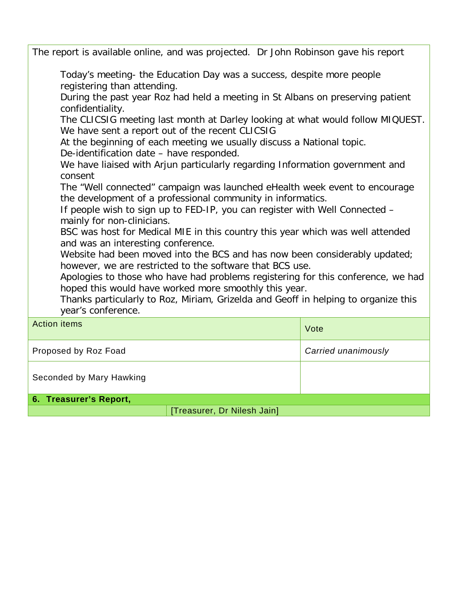The report is available online, and was projected. Dr John Robinson gave his report Today's meeting- the Education Day was a success, despite more people registering than attending. During the past year Roz had held a meeting in St Albans on preserving patient confidentiality. The CLICSIG meeting last month at Darley looking at what would follow MIQUEST. We have sent a report out of the recent CLICSIG At the beginning of each meeting we usually discuss a National topic. De-identification date – have responded. We have liaised with Arjun particularly regarding Information government and consent The "Well connected" campaign was launched eHealth week event to encourage the development of a professional community in informatics. If people wish to sign up to FED-IP, you can register with Well Connected – mainly for non-clinicians. BSC was host for Medical MIE in this country this year which was well attended and was an interesting conference. Website had been moved into the BCS and has now been considerably updated; however, we are restricted to the software that BCS use. Apologies to those who have had problems registering for this conference, we had hoped this would have worked more smoothly this year. Thanks particularly to Roz, Miriam, Grizelda and Geoff in helping to organize this year's conference. Action items Vote Proposed by Roz Foad *Carried unanimously* Seconded by Mary Hawking **6. Treasurer's Report,** 

[Treasurer, Dr Nilesh Jain]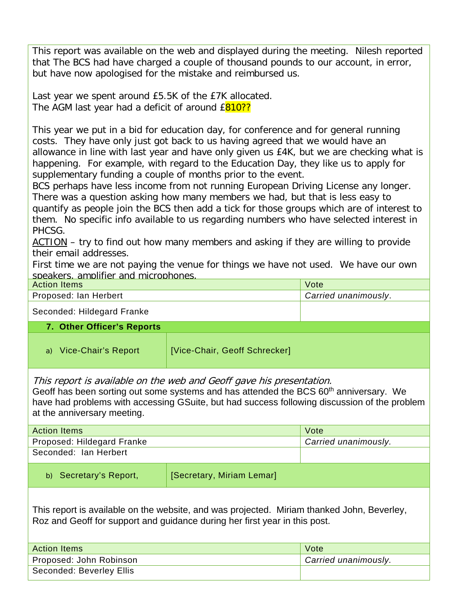This report was available on the web and displayed during the meeting. Nilesh reported that The BCS had have charged a couple of thousand pounds to our account, in error, but have now apologised for the mistake and reimbursed us.

Last year we spent around £5.5K of the £7K allocated. The AGM last year had a deficit of around £810??

This year we put in a bid for education day, for conference and for general running costs. They have only just got back to us having agreed that we would have an allowance in line with last year and have only given us £4K, but we are checking what is happening. For example, with regard to the Education Day, they like us to apply for supplementary funding a couple of months prior to the event.

BCS perhaps have less income from not running European Driving License any longer. There was a question asking how many members we had, but that is less easy to quantify as people join the BCS then add a tick for those groups which are of interest to them. No specific info available to us regarding numbers who have selected interest in PHCSG.

ACTION – try to find out how many members and asking if they are willing to provide their email addresses.

First time we are not paying the venue for things we have not used. We have our own speakers, amplifier and microphones.

| <b>Action Items</b>        |                               | Vote                 |
|----------------------------|-------------------------------|----------------------|
| Proposed: Ian Herbert      |                               | Carried unanimously. |
| Seconded: Hildegard Franke |                               |                      |
| 7. Other Officer's Reports |                               |                      |
| a) Vice-Chair's Report     | [Vice-Chair, Geoff Schrecker] |                      |

This report is available on the web and Geoff gave his presentation.

Geoff has been sorting out some systems and has attended the BCS  $60<sup>th</sup>$  anniversary. We have had problems with accessing GSuite, but had success following discussion of the problem at the anniversary meeting.

| <b>Action Items</b>        |                           | Vote                 |
|----------------------------|---------------------------|----------------------|
| Proposed: Hildegard Franke |                           | Carried unanimously. |
| Seconded: Ian Herbert      |                           |                      |
| b) Secretary's Report,     | [Secretary, Miriam Lemar] |                      |
|                            |                           |                      |

This report is available on the website, and was projected. Miriam thanked John, Beverley, Roz and Geoff for support and guidance during her first year in this post.

| <b>Action Items</b>      | Vote <sup>1</sup>    |
|--------------------------|----------------------|
| Proposed: John Robinson  | Carried unanimously. |
| Seconded: Beverley Ellis |                      |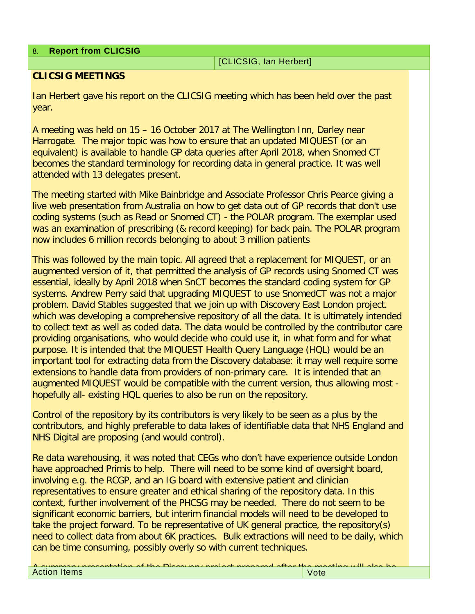8. **Report from CLICSIG** 

[CLICSIG, Ian Herbert]

## **CLICSIG MEETINGS**

Ian Herbert gave his report on the CLICSIG meeting which has been held over the past year.

A meeting was held on 15 – 16 October 2017 at The Wellington Inn, Darley near Harrogate. The major topic was how to ensure that an updated MIQUEST (or an equivalent) is available to handle GP data queries after April 2018, when Snomed CT becomes the standard terminology for recording data in general practice. It was well attended with 13 delegates present.

The meeting started with Mike Bainbridge and Associate Professor Chris Pearce giving a live web presentation from Australia on how to get data out of GP records that don't use coding systems (such as Read or Snomed CT) - the POLAR program. The exemplar used was an examination of prescribing (& record keeping) for back pain. The POLAR program now includes 6 million records belonging to about 3 million patients

This was followed by the main topic. All agreed that a replacement for MIQUEST, or an augmented version of it, that permitted the analysis of GP records using Snomed CT was essential, ideally by April 2018 when SnCT becomes the standard coding system for GP systems. Andrew Perry said that upgrading MIQUEST to use SnomedCT was not a major problem. David Stables suggested that we join up with Discovery East London project. which was developing a comprehensive repository of all the data. It is ultimately intended to collect text as well as coded data. The data would be controlled by the contributor care providing organisations, who would decide who could use it, in what form and for what purpose. It is intended that the MIQUEST Health Query Language (HQL) would be an important tool for extracting data from the Discovery database: it may well require some extensions to handle data from providers of non-primary care. It is intended that an augmented MIQUEST would be compatible with the current version, thus allowing most hopefully all- existing HQL queries to also be run on the repository.

Control of the repository by its contributors is very likely to be seen as a plus by the contributors, and highly preferable to data lakes of identifiable data that NHS England and NHS Digital are proposing (and would control).

Re data warehousing, it was noted that CEGs who don't have experience outside London have approached Primis to help. There will need to be some kind of oversight board, involving e.g. the RCGP, and an IG board with extensive patient and clinician representatives to ensure greater and ethical sharing of the repository data. In this context, further involvement of the PHCSG may be needed. There do not seem to be significant economic barriers, but interim financial models will need to be developed to take the project forward. To be representative of UK general practice, the repository(s) need to collect data from about 6K practices. Bulk extractions will need to be daily, which can be time consuming, possibly overly so with current techniques.

A summary presentation of the Discovery project prepared after the meeting will also be.<br>Action Items Action Items <mark>Vote</mark>